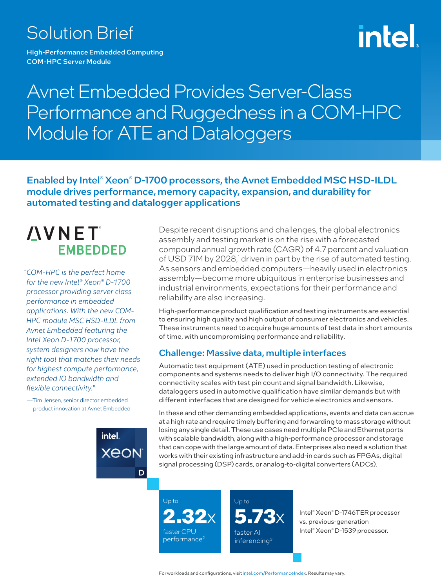# Solution Brief

High-Performance Embedded Computing COM-HPC Server Module

# intel

# Avnet Embedded Provides Server-Class Performance and Ruggedness in a COM-HPC Module for ATE and Dataloggers

# Enabled by Intel® Xeon® D-1700 processors, the Avnet Embedded MSC HSD-ILDL module drives performance, memory capacity, expansion, and durability for automated testing and datalogger applications

# *NVNET* **EMBEDDED**

*"COM-HPC is the perfect home for the new Intel® Xeon® D-1700 processor providing server class performance in embedded applications. With the new COM-HPC module MSC HSD-ILDL from Avnet Embedded featuring the Intel Xeon D-1700 processor, system designers now have the right tool that matches their needs for highest compute performance, extended IO bandwidth and flexible connectivity."* 

—Tim Jensen, senior director embedded product innovation at Avnet Embedded

> intel. **XEON** D

Despite recent disruptions and challenges, the global electronics assembly and testing market is on the rise with a forecasted compound annual growth rate (CAGR) of 4.7 percent and valuation of USD 71M by 2028,<sup>1</sup> driven in part by the rise of automated testing. As sensors and embedded computers—heavily used in electronics assembly—become more ubiquitous in enterprise businesses and industrial environments, expectations for their performance and reliability are also increasing.

High-performance product qualification and testing instruments are essential to ensuring high quality and high output of consumer electronics and vehicles. These instruments need to acquire huge amounts of test data in short amounts of time, with uncompromising performance and reliability.

# Challenge: Massive data, multiple interfaces

Automatic test equipment (ATE) used in production testing of electronic components and systems needs to deliver high I/O connectivity. The required connectivity scales with test pin count and signal bandwidth. Likewise, dataloggers used in automotive qualification have similar demands but with different interfaces that are designed for vehicle electronics and sensors.

In these and other demanding embedded applications, events and data can accrue at a high rate and require timely buffering and forwarding to mass storage without losing any single detail. These use cases need multiple PCIe and Ethernet ports with scalable bandwidth, along with a high-performance processor and storage that can cope with the large amount of data. Enterprises also need a solution that works with their existing infrastructure and add-in cards such as FPGAs, digital signal processing (DSP) cards, or analog-to-digital converters (ADCs).





Intel® Xeon® D-1746TER processor vs. previous-generation Intel® Xeon® D-1539 processor.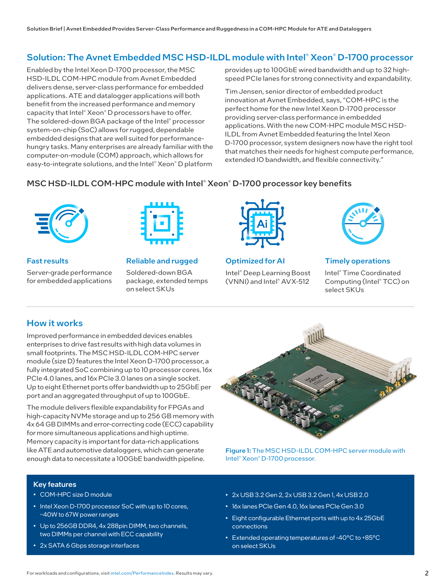# Solution: The Avnet Embedded MSC HSD-ILDL module with Intel® Xeon® D-1700 processor

Enabled by the Intel Xeon D-1700 processor, the MSC HSD-ILDL COM-HPC module from Avnet Embedded delivers dense, server-class performance for embedded applications. ATE and datalogger applications will both benefit from the increased performance and memory capacity that Intel® Xeon® D processors have to offer. The soldered-down BGA package of the Intel® processor system-on-chip (SoC) allows for rugged, dependable embedded designs that are well suited for performancehungry tasks. Many enterprises are already familiar with the computer-on-module (COM) approach, which allows for easy-to-integrate solutions, and the Intel® Xeon® D platform provides up to 100GbE wired bandwidth and up to 32 highspeed PCIe lanes for strong connectivity and expandability.

Tim Jensen, senior director of embedded product innovation at Avnet Embedded, says, "COM-HPC is the perfect home for the new Intel Xeon D-1700 processor providing server-class performance in embedded applications. With the new COM-HPC module MSC HSD-ILDL from Avnet Embedded featuring the Intel Xeon D-1700 processor, system designers now have the right tool that matches their needs for highest compute performance, extended IO bandwidth, and flexible connectivity."

### MSC HSD-ILDL COM-HPC module with Intel® Xeon® D-1700 processor key benefits



Fast results

Server-grade performance for embedded applications



Reliable and rugged

Soldered-down BGA package, extended temps on select SKUs



Optimized for AI

Intel® Deep Learning Boost (VNNI) and Intel® AVX-512



Timely operations

Intel® Time Coordinated Computing (Intel® TCC) on select SKUs

## How it works

Improved performance in embedded devices enables enterprises to drive fast results with high data volumes in small footprints. The MSC HSD-ILDL COM-HPC server module (size D) features the Intel Xeon D-1700 processor, a fully integrated SoC combining up to 10 processor cores, 16x PCIe 4.0 lanes, and 16x PCIe 3.0 lanes on a single socket. Up to eight Ethernet ports offer bandwidth up to 25GbE per port and an aggregated throughput of up to 100GbE.

The module delivers flexible expandability for FPGAs and high-capacity NVMe storage and up to 256 GB memory with 4x 64 GB DIMMs and error-correcting code (ECC) capability for more simultaneous applications and high uptime. Memory capacity is important for data-rich applications like ATE and automotive dataloggers, which can generate enough data to necessitate a 100GbE bandwidth pipeline.



Figure 1: The MSC HSD-ILDL COM-HPC server module with Intel® Xeon® D-1700 processor.

#### Key features

- COM-HPC size D module
- Intel Xeon D-1700 processor SoC with up to 10 cores, ~40W to 67W power ranges
- Up to 256GB DDR4, 4x 288pin DIMM, two channels, two DIMMs per channel with ECC capability
- 2x SATA 6 Gbps storage interfaces
- 2x USB 3.2 Gen 2, 2x USB 3.2 Gen 1, 4x USB 2.0
- 16x lanes PCIe Gen 4.0, 16x lanes PCIe Gen 3.0
- Eight configurable Ethernet ports with up to 4x 25GbE connections
- Extended operating temperatures of -40°C to +85°C on select SKUs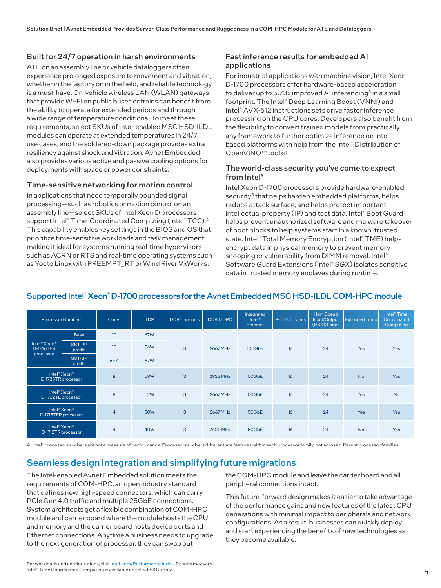#### Built for 24/7 operation in harsh environments

ATE on an assembly line or vehicle dataloggers often experience prolonged exposure to movement and vibration, whether in the factory on in the field, and reliable technology is a must-have. On-vehicle wireless LAN (WLAN) gateways that provide Wi-Fi on public buses or trains can benefit from the ability to operate for extended periods and through a wide range of temperature conditions. To meet these requirements, select SKUs of Intel-enabled MSC HSD-ILDL modules can operate at extended temperatures in 24/7 use cases, and the soldered-down package provides extra resiliency against shock and vibration. Avnet Embedded also provides various active and passive cooling options for deployments with space or power constraints.

#### Time-sensitive networking for motion control

In applications that need temporally bounded signal processing—such as robotics or motion control on an assembly line—select SKUs of Intel Xeon D processors support Intel® Time-Coordinated Computing (Intel® TCC).<sup>4</sup> This capability enables key settings in the BIOS and OS that prioritize time-sensitive workloads and task management, making it ideal for systems running real-time hypervisors such as ACRN or RTS and real-time operating systems such as Yocto Linux with PREEMPT\_RT or Wind River VxWorks.

#### Fast inference results for embedded AI applications

For industrial applications with machine vision, Intel Xeon D-1700 processors offer hardware-based acceleration to deliver up to 5.73x improved AI inferencing<sup>3</sup> in a small footprint. The Intel® Deep Learning Boost (VNNI) and Intel® AVX-512 instructions sets drive faster inference processing on the CPU cores. Developers also benefit from the flexibility to convert trained models from practically any framework to further optimize inference on Intelbased platforms with help from the Intel® Distribution of OpenVINO™ toolkit.

#### The world-class security you've come to expect from Intel<sup>5</sup>

Intel Xeon D-1700 processors provide hardware-enabled security<sup>5</sup> that helps harden embedded platforms, helps reduce attack surface, and helps protect important intellectual property (IP) and test data. Intel® Boot Guard helps prevent unauthorized software and malware takeover of boot blocks to help systems start in a known, trusted state. Intel® Total Memory Encryption (Intel® TME) helps encrypt data in physical memory to prevent memory snooping or vulnerability from DIMM removal. Intel® Software Guard Extensions (Intel® SGX) isolates sensitive data in trusted memory enclaves during runtime.

| Processor Number <sup>A</sup>                                         |                   | Cores           | <b>TDP</b>      | <b>DDR Channels</b> | DDR41DPC | Integrated<br>$\text{Intel}^{\circledcirc}$<br><b>Ethernet</b> | PCle 4.0 Lanes | High-Speed<br>Input/Output<br>(HSIO) Lanes | <b>Extended Temp</b> | Intel <sup>®</sup> Time<br>Coordinated<br>Computing |
|-----------------------------------------------------------------------|-------------------|-----------------|-----------------|---------------------|----------|----------------------------------------------------------------|----------------|--------------------------------------------|----------------------|-----------------------------------------------------|
| Intel <sup>®</sup> Xeon <sup>®</sup><br><b>D-1746TER</b><br>processor | Base              | 10 <sup>°</sup> | 67W             | 3                   | 2667 MHz | 100GbE                                                         | 16             | 24                                         | Yes                  | Yes                                                 |
|                                                                       | SST-PP<br>profile | 10              | <b>56W</b>      |                     |          |                                                                |                |                                            |                      |                                                     |
|                                                                       | SST-BF<br>profile | $6 + 4$         | 67W             |                     |          |                                                                |                |                                            |                      |                                                     |
| Intel <sup>®</sup> Xeon <sup>®</sup><br>D-1735TR processor            |                   | 8               | 59W             | 3                   | 2933 MHz | 50GbE                                                          | 16             | 24                                         | <b>No</b>            | <b>Yes</b>                                          |
| Intel <sup>®</sup> Xeon <sup>®</sup><br>D-1732TE processor            |                   | 8               | <b>52W</b>      | $\mathbf{3}$        | 2667 MHz | 50GbE                                                          | 16             | 24                                         | Yes                  | <b>No</b>                                           |
| Intel <sup>®</sup> Xeon <sup>®</sup><br>D-1715TER processor           |                   | $\overline{4}$  | <b>50W</b>      | 3                   | 2667 MHz | 50GbE                                                          | 16             | 24                                         | Yes                  | <b>Yes</b>                                          |
| Intel <sup>®</sup> Xeon <sup>®</sup><br>D-1712TR processor            |                   | $\overline{4}$  | 40 <sub>W</sub> | 3                   | 2400 MHz | 50GbE                                                          | 16             | 24                                         | <b>No</b>            | Yes                                                 |

# Supported Intel® Xeon® D-1700 processors for the Avnet Embedded MSC HSD-ILDL COM-HPC module

A. Intel® processor numbers are not a measure of performance. Processor numbers differentiate features within each processor family, not across different processor families.

# Seamless design integration and simplifying future migrations

The Intel-enabled Avnet Embedded solution meets the requirements of COM-HPC, an open industry standard that defines new high-speed connectors, which can carry PCIe Gen 4.0 traffic and multiple 25GbE connections. System architects get a flexible combination of COM-HPC module and carrier board where the module hosts the CPU and memory and the carrier board hosts device ports and Ethernet connections. Anytime a business needs to upgrade to the next generation of processor, they can swap out

the COM-HPC module and leave the carrier board and all peripheral connections intact.

This future-forward design makes it easier to take advantage of the performance gains and new features of the latest CPU generations with minimal impact to peripherals and network configurations. As a result, businesses can quickly deploy and start experiencing the benefits of new technologies as they become available.